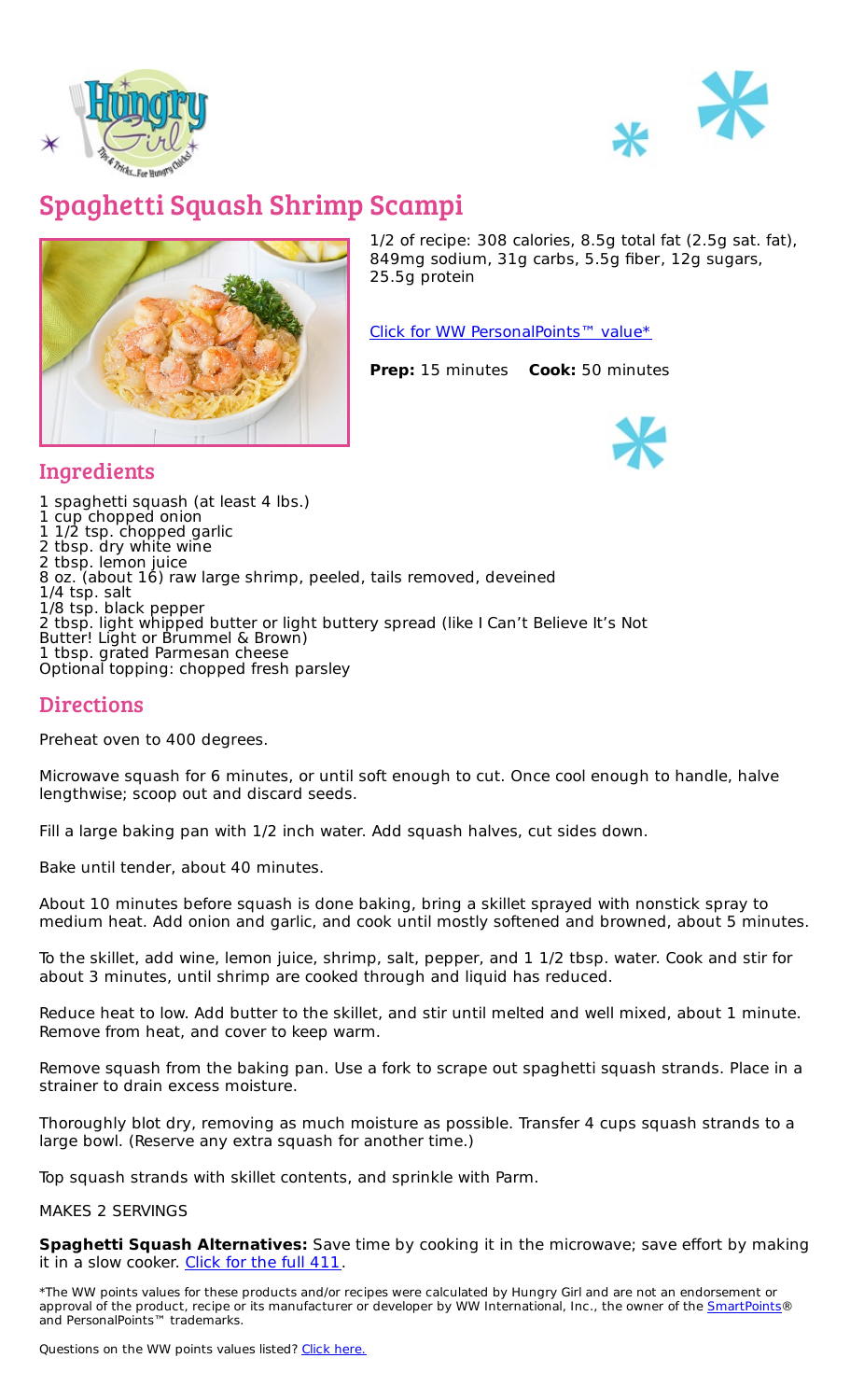



## Spaghetti Squash Shrimp Scampi



1/2 of recipe: 308 calories, 8.5g total fat (2.5g sat. fat), 849mg sodium, 31g carbs, 5.5g fiber, 12g sugars, 25.5g protein

Click for WW [PersonalPoints™](https://cmx.weightwatchers.com/details/MEMBERRECIPE:6266f6921639932abd43425e) value\*

**Prep:** 15 minutes **Cook:** 50 minutes



## **Ingredients**

 spaghetti squash (at least 4 lbs.) cup chopped onion 1/2 tsp. chopped garlic tbsp. dry white wine tbsp. lemon juice oz. (about 16) raw large shrimp, peeled, tails removed, deveined 1/4 tsp. salt 1/8 tsp. black pepper tbsp. light whipped butter or light buttery spread (like I Can't Believe It's Not Butter! Light or Brummel & Brown) tbsp. grated Parmesan cheese Optional topping: chopped fresh parsley

## **Directions**

Preheat oven to 400 degrees.

Microwave squash for 6 minutes, or until soft enough to cut. Once cool enough to handle, halve lengthwise; scoop out and discard seeds.

Fill a large baking pan with 1/2 inch water. Add squash halves, cut sides down.

Bake until tender, about 40 minutes.

About 10 minutes before squash is done baking, bring a skillet sprayed with nonstick spray to medium heat. Add onion and garlic, and cook until mostly softened and browned, about 5 minutes.

To the skillet, add wine, lemon juice, shrimp, salt, pepper, and 1 1/2 tbsp. water. Cook and stir for about 3 minutes, until shrimp are cooked through and liquid has reduced.

Reduce heat to low. Add butter to the skillet, and stir until melted and well mixed, about 1 minute. Remove from heat, and cover to keep warm.

Remove squash from the baking pan. Use a fork to scrape out spaghetti squash strands. Place in a strainer to drain excess moisture.

Thoroughly blot dry, removing as much moisture as possible. Transfer 4 cups squash strands to a large bowl. (Reserve any extra squash for another time.)

Top squash strands with skillet contents, and sprinkle with Parm.

MAKES 2 SERVINGS

**Spaghetti Squash Alternatives:** Save time by cooking it in the microwave; save effort by making it in a slow cooker. [Click](https://www.hungry-girl.com/ask-hg-q-and-a/how-to-cook-spaghetti-squash) for the full 411.

\*The WW points values for these products and/or recipes were calculated by Hungry Girl and are not an endorsement or approval of the product, recipe or its manufacturer or developer by WW International, Inc., the owner of the **[SmartPoints](https://www.hungry-girl.com/pages/smartpoints)**® and PersonalPoints™ trademarks.

Questions on the WW points values listed? Click [here.](file:///pages/smartpoints)